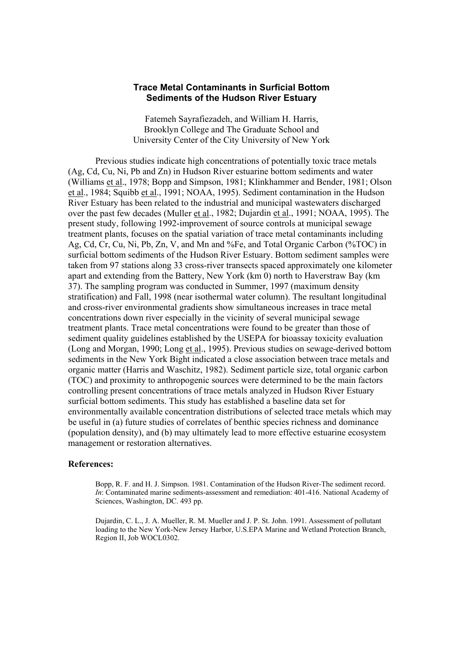## **Trace Metal Contaminants in Surficial Bottom Sediments of the Hudson River Estuary**

Fatemeh Sayrafiezadeh, and William H. Harris, Brooklyn College and The Graduate School and University Center of the City University of New York

 Previous studies indicate high concentrations of potentially toxic trace metals (Ag, Cd, Cu, Ni, Pb and Zn) in Hudson River estuarine bottom sediments and water (Williams et al., 1978; Bopp and Simpson, 1981; Klinkhammer and Bender, 1981; Olson et al., 1984; Squibb et al., 1991; NOAA, 1995). Sediment contamination in the Hudson River Estuary has been related to the industrial and municipal wastewaters discharged over the past few decades (Muller et al., 1982; Dujardin et al., 1991; NOAA, 1995). The present study, following 1992-improvement of source controls at municipal sewage treatment plants, focuses on the spatial variation of trace metal contaminants including Ag, Cd, Cr, Cu, Ni, Pb, Zn, V, and Mn and %Fe, and Total Organic Carbon (%TOC) in surficial bottom sediments of the Hudson River Estuary. Bottom sediment samples were taken from 97 stations along 33 cross-river transects spaced approximately one kilometer apart and extending from the Battery, New York (km 0) north to Haverstraw Bay (km 37). The sampling program was conducted in Summer, 1997 (maximum density stratification) and Fall, 1998 (near isothermal water column). The resultant longitudinal and cross-river environmental gradients show simultaneous increases in trace metal concentrations down river especially in the vicinity of several municipal sewage treatment plants. Trace metal concentrations were found to be greater than those of sediment quality guidelines established by the USEPA for bioassay toxicity evaluation (Long and Morgan, 1990; Long et al., 1995). Previous studies on sewage-derived bottom sediments in the New York Bight indicated a close association between trace metals and organic matter (Harris and Waschitz, 1982). Sediment particle size, total organic carbon (TOC) and proximity to anthropogenic sources were determined to be the main factors controlling present concentrations of trace metals analyzed in Hudson River Estuary surficial bottom sediments. This study has established a baseline data set for environmentally available concentration distributions of selected trace metals which may be useful in (a) future studies of correlates of benthic species richness and dominance (population density), and (b) may ultimately lead to more effective estuarine ecosystem management or restoration alternatives.

## **References:**

Bopp, R. F. and H. J. Simpson. 1981. Contamination of the Hudson River-The sediment record. *In*: Contaminated marine sediments-assessment and remediation: 401-416. National Academy of Sciences, Washington, DC. 493 pp.

Dujardin, C. L., J. A. Mueller, R. M. Mueller and J. P. St. John. 1991. Assessment of pollutant loading to the New York-New Jersey Harbor, U.S.EPA Marine and Wetland Protection Branch, Region II, Job WOCL0302.